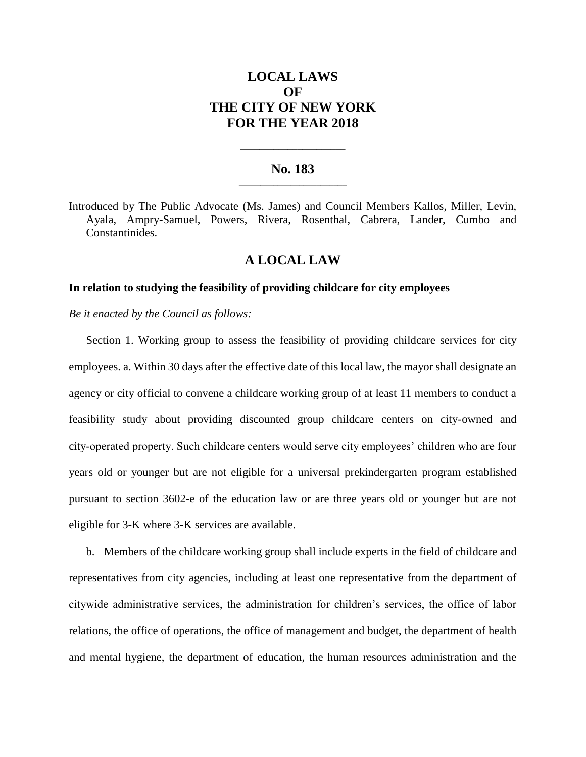# **LOCAL LAWS OF THE CITY OF NEW YORK FOR THE YEAR 2018**

### **No. 183 \_\_\_\_\_\_\_\_\_\_\_\_\_\_\_\_\_\_\_\_\_\_\_\_\_**

**\_\_\_\_\_\_\_\_\_\_\_\_\_\_\_\_\_\_\_\_\_\_**

Introduced by The Public Advocate (Ms. James) and Council Members Kallos, Miller, Levin, Ayala, Ampry-Samuel, Powers, Rivera, Rosenthal, Cabrera, Lander, Cumbo and Constantinides.

## **A LOCAL LAW**

#### **In relation to studying the feasibility of providing childcare for city employees**

*Be it enacted by the Council as follows:*

Section 1. Working group to assess the feasibility of providing childcare services for city employees. a. Within 30 days after the effective date of this local law, the mayor shall designate an agency or city official to convene a childcare working group of at least 11 members to conduct a feasibility study about providing discounted group childcare centers on city-owned and city-operated property. Such childcare centers would serve city employees' children who are four years old or younger but are not eligible for a universal prekindergarten program established pursuant to section 3602-e of the education law or are three years old or younger but are not eligible for 3-K where 3-K services are available.

b. Members of the childcare working group shall include experts in the field of childcare and representatives from city agencies, including at least one representative from the department of citywide administrative services, the administration for children's services, the office of labor relations, the office of operations, the office of management and budget, the department of health and mental hygiene, the department of education, the human resources administration and the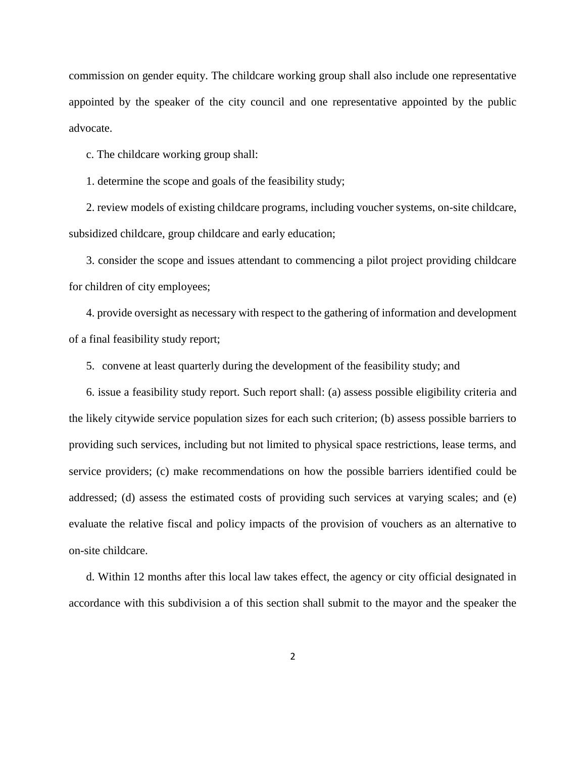commission on gender equity. The childcare working group shall also include one representative appointed by the speaker of the city council and one representative appointed by the public advocate.

c. The childcare working group shall:

1. determine the scope and goals of the feasibility study;

2. review models of existing childcare programs, including voucher systems, on-site childcare, subsidized childcare, group childcare and early education;

3. consider the scope and issues attendant to commencing a pilot project providing childcare for children of city employees;

4. provide oversight as necessary with respect to the gathering of information and development of a final feasibility study report;

5. convene at least quarterly during the development of the feasibility study; and

6. issue a feasibility study report. Such report shall: (a) assess possible eligibility criteria and the likely citywide service population sizes for each such criterion; (b) assess possible barriers to providing such services, including but not limited to physical space restrictions, lease terms, and service providers; (c) make recommendations on how the possible barriers identified could be addressed; (d) assess the estimated costs of providing such services at varying scales; and (e) evaluate the relative fiscal and policy impacts of the provision of vouchers as an alternative to on-site childcare.

d. Within 12 months after this local law takes effect, the agency or city official designated in accordance with this subdivision a of this section shall submit to the mayor and the speaker the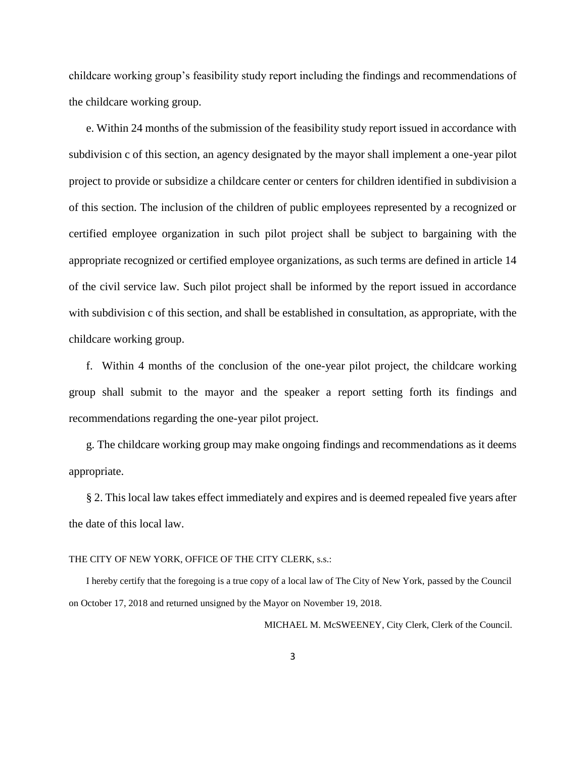childcare working group's feasibility study report including the findings and recommendations of the childcare working group.

e. Within 24 months of the submission of the feasibility study report issued in accordance with subdivision c of this section, an agency designated by the mayor shall implement a one-year pilot project to provide or subsidize a childcare center or centers for children identified in subdivision a of this section. The inclusion of the children of public employees represented by a recognized or certified employee organization in such pilot project shall be subject to bargaining with the appropriate recognized or certified employee organizations, as such terms are defined in article 14 of the civil service law. Such pilot project shall be informed by the report issued in accordance with subdivision c of this section, and shall be established in consultation, as appropriate, with the childcare working group.

f. Within 4 months of the conclusion of the one-year pilot project, the childcare working group shall submit to the mayor and the speaker a report setting forth its findings and recommendations regarding the one-year pilot project.

g. The childcare working group may make ongoing findings and recommendations as it deems appropriate.

§ 2. This local law takes effect immediately and expires and is deemed repealed five years after the date of this local law.

#### THE CITY OF NEW YORK, OFFICE OF THE CITY CLERK, s.s.:

I hereby certify that the foregoing is a true copy of a local law of The City of New York, passed by the Council on October 17, 2018 and returned unsigned by the Mayor on November 19, 2018.

MICHAEL M. McSWEENEY, City Clerk, Clerk of the Council.